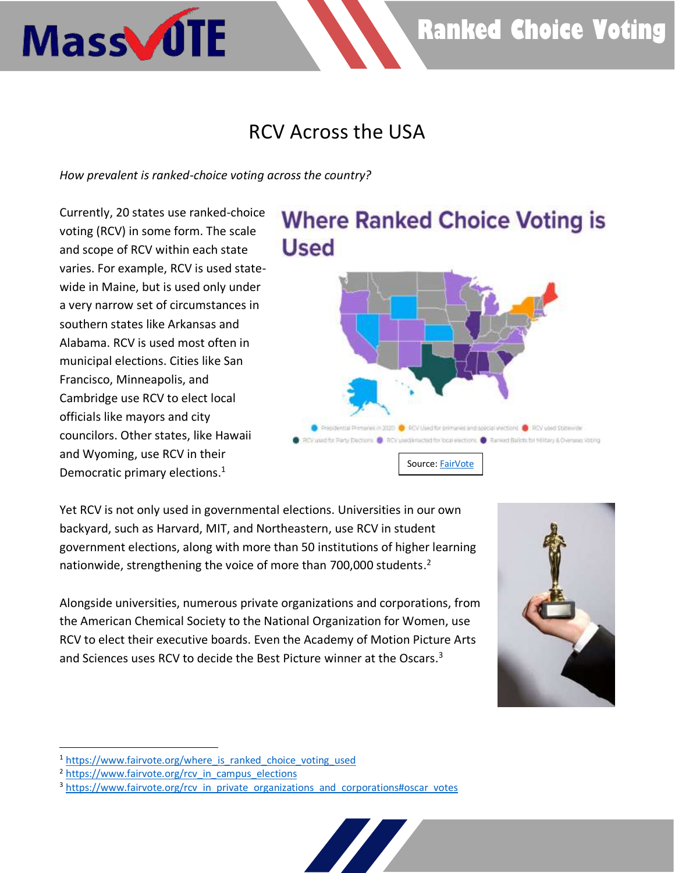# **Ranked Choice Voting**

### RCV Across the USA

*How prevalent is ranked-choice voting across the country?*

Currently, 20 states use ranked-choice voting (RCV) in some form. The scale and scope of RCV within each state varies. For example, RCV is used statewide in Maine, but is used only under a very narrow set of circumstances in southern states like Arkansas and Alabama. RCV is used most often in municipal elections. Cities like San Francisco, Minneapolis, and Cambridge use RCV to elect local officials like mayors and city councilors. Other states, like Hawaii and Wyoming, use RCV in their Democratic primary elections. 1

Mass JUTE

## **Where Ranked Choice Voting is Used**



Yet RCV is not only used in governmental elections. Universities in our own backyard, such as Harvard, MIT, and Northeastern, use RCV in student government elections, along with more than 50 institutions of higher learning nationwide, strengthening the voice of more than 700,000 students. 2

Alongside universities, numerous private organizations and corporations, from the American Chemical Society to the National Organization for Women, use RCV to elect their executive boards. Even the Academy of Motion Picture Arts and Sciences uses RCV to decide the Best Picture winner at the Oscars.<sup>3</sup>



<sup>&</sup>lt;sup>1</sup> https://www.fairvote.org/where is ranked choice voting used

<sup>&</sup>lt;sup>2</sup> [https://www.fairvote.org/rcv\\_in\\_campus\\_elections](https://www.fairvote.org/rcv_in_campus_elections)

<sup>&</sup>lt;sup>3</sup> [https://www.fairvote.org/rcv\\_in\\_private\\_organizations\\_and\\_corporations#oscar\\_votes](https://www.fairvote.org/rcv_in_private_organizations_and_corporations#oscar_votes)